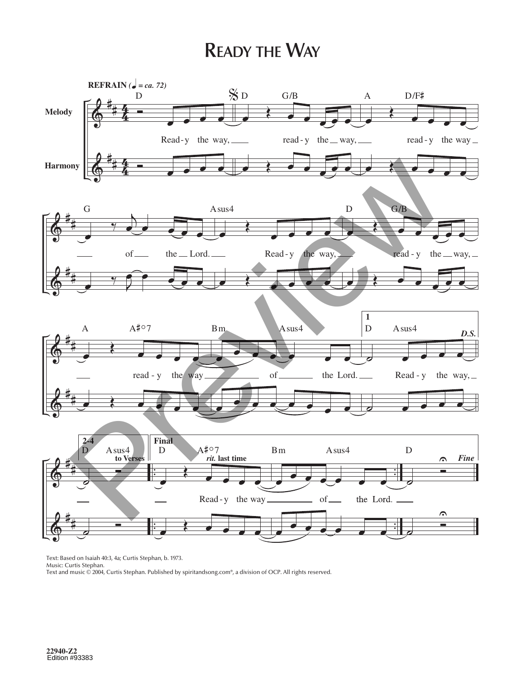## **READY THE WAY**



Text: Based on Isaiah 40:3, 4a; Curtis Stephan, b. 1973.

Music: Curtis Stephan.

Text and music © 2004, Curtis Stephan. Published by spiritandsong.com®, a division of OCP. All rights reserved.